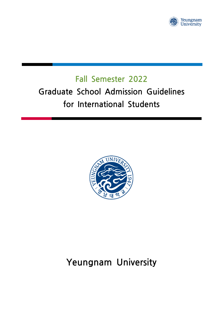

# <span id="page-0-0"></span>**Fall Semester 2022 Fall Semester 2022**<br> **Graduate School Admission Guidelines**<br> **School Admission Guidelines**<br> **School Students for International Students**



# **Yeungnam University**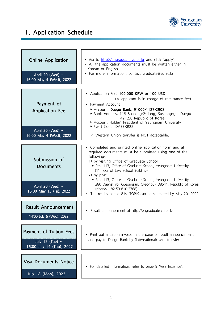

# **1. Application Schedule**

| <b>Online Application</b><br>April 20 (Wed) $\sim$<br>16:00 May 4 (Wed), 2022                               | • Go to http://engraduate.yu.ac.kr and click "apply"<br>• All the application documents must be written either in<br>Korean or English.<br>• For more information, contact graduate@yu.ac.kr                                                                                                                                                                                                                            |
|-------------------------------------------------------------------------------------------------------------|-------------------------------------------------------------------------------------------------------------------------------------------------------------------------------------------------------------------------------------------------------------------------------------------------------------------------------------------------------------------------------------------------------------------------|
| Payment of<br><b>Application Fee</b><br>April 20 (Wed) $\sim$<br>16:00 May 4 (Wed), 2022                    | • Application Fee: 100,000 KRW or 100 USD<br>(* applicant is in charge of remittance fee)<br>• Payment Account<br>Account: Daegu Bank, 91000-1127-2908<br>Bank Address: 118 Suseong-2-dong, Suseong-gu, Daegu<br>42123, Republic of Korea<br>Account Holder: President of Yeungnam University<br>Swift Code: DAEBKR22<br>* Western Union transfer is NOT acceptable.                                                    |
| Submission of<br><b>Documents</b>                                                                           | • Completed and printed online application form and all<br>required documents must be submitted using one of the<br>followings:<br>1) by visiting Office of Graduate School<br>Rm. 113, Office of Graduate School, Yeungnam University<br>$(1st$ floor of Law School Building)<br>2) by post<br>Rm. 113, Office of Graduate School, Yeungnam University,<br>280 Daehak-ro, Gyeongsan, Gyeonbuk 38541, Republic of Korea |
| April 20 (Wed) $\sim$<br>16:00 May 13 (Fri), 2022<br><b>Result Announcement</b><br>14:00 July 6 (Wed), 2022 | (phone: +82-53-810-3768)<br>• The results of the 81st TOPIK can be submitted by May 20, 2022<br>• Result announcement at http://engraduate.yu.ac.kr                                                                                                                                                                                                                                                                     |
| Payment of Tuition Fees<br>July 12 (Tue) $\sim$<br>16:00 July 14 (Thu), 2022                                | • Print out a tuition invoice in the page of result announcement<br>and pay to Daegu Bank by (international) wire transfer.                                                                                                                                                                                                                                                                                             |
| <b>Visa Documents Notice</b><br>July 18 (Mon), 2022 ~                                                       | · For detailed information, refer to page 9 'Visa Issuance'.                                                                                                                                                                                                                                                                                                                                                            |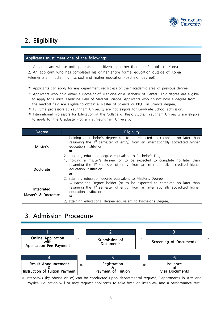

# **2. Eligibility**

#### **Applicants must meet one of the followings:**

1. An applicant whose both parents hold citizenship other than the Republic of Korea 2. An applicant who has completed his or her entire formal education outside of Korea (elementary, middle, high school and higher education (bachelor degree))  **1.** An applicant whose both parents hold citizenship other than the Republic of Korea<br>
2. An applicant who has completed his or her entire formal education outside of Korea<br>
(elementary, middle, high school and higher edu

- 
- ※ Applicants who hold either a Bachelor of Medicine or a Bachelor of Dental Clinic degree are eligible to apply for Clinical Medicine Field of Medical Science. Applicants who do not hold a degree from the medical field are eligible to obtain a Master of Science or Ph.D. in Science degree.
- ※ Full-time professors at Yeungnam University are not eligible for Graduate School admission.
- ※ International Professors for Education at the College of Basic Studies, Yeugnam University are eligible to apply for the Graduate Program at Yeungnam University.

| <b>Degree</b>                      | <b>Eligibility</b>                                                                                                                                                                                                                                                       |
|------------------------------------|--------------------------------------------------------------------------------------------------------------------------------------------------------------------------------------------------------------------------------------------------------------------------|
| Master's                           | 1. holding a bachelor's degree (or to be expected to complete no later than<br>resuming the 1 <sup>st</sup> semester of entry) from an internationally accredited higher<br>education institution<br>or<br>2. attaining education degree equivalent to Bachelor's Degree |
| Doctorate                          | holding a master's degree (or to be expected to complete no later than<br>resuming the $1st$ semester of entry) from an internationally accredited higher<br>education institution<br>or<br>2. attaining education degree equivalent to Master's Degree                  |
| Integrated<br>Master's & Doctorate | 1. A Bachelor's Degree holder (or to be expected to complete no later than<br>resuming the $1st$ semester of entry) from an internationally accredited higher<br>education institution<br>or<br>2. attaining educational degree equivalent to Bachelor's Degree.         |

## **3. Admission Procedure**



※ Interviews (by phone or so) can be conducted upon departmental request. Departments in Arts and Physical Education will or may request applicants to take both an interview and a performance test.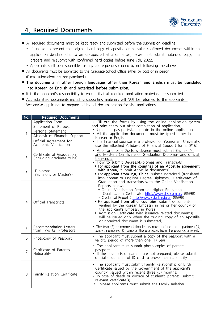

## **4. Required Documents**

- All required documents must be kept ready and submitted before the submission deadline.
- 4. Required Documents<br>All required documents must be kept ready and submitted before the submission deadline.<br>\* If unable to present the original hard copy of apostille or consular confirmed documents within the application deadline due to an unexpected situation arises, please first submit notarized copy, then prepare and re-submit with confirmed hard copies before June 7th, 2022. ■ All required documents must be kept ready and submitted before the submission deadline.<br>
★ If unable to present the original hard copy of apostille or consular confirmed documents v<br>
application deadline due to an unexp
	-
- application deadline due to an unexpe<br>prepare and re-submit with confirmed h<br>
★ Applicants shall be responsible for any o<br>
 All documents must be submitted to the Gra<br>
(E-mail submissions are not permitted.)<br>
 The docum
- ∎ **The documents in other foreign languages other than Korean and English must be translated into Korean or English and notarized before submission.**
- It is the applicant's responsibility to ensure that all required application materials are submitted.
- ALL submitted documents including supporting materials will NOT be returned to the applicants. ■ The documents in other foreign languages other than Korean and English<br>into Korean or English and notarized before submission.<br>■ It is the applicant's responsibility to ensure that all required application materials are

|                |                                                         | ALL SUDITIILLED OOCUITIERIS IHCIUUMITY SUPPORING THALEHAIS WIII NOT DE FELUMEO LO LITE APPIICAHIS.<br>We advise applicants to prepare additional documentation for visa applications.                                                                                                                                                                                                                                                                                                                                                                                   |
|----------------|---------------------------------------------------------|-------------------------------------------------------------------------------------------------------------------------------------------------------------------------------------------------------------------------------------------------------------------------------------------------------------------------------------------------------------------------------------------------------------------------------------------------------------------------------------------------------------------------------------------------------------------------|
|                |                                                         |                                                                                                                                                                                                                                                                                                                                                                                                                                                                                                                                                                         |
| No.            | <b>Required Documents</b>                               |                                                                                                                                                                                                                                                                                                                                                                                                                                                                                                                                                                         |
|                | Application Form                                        | • Fill out the forms by using the online application system                                                                                                                                                                                                                                                                                                                                                                                                                                                                                                             |
|                | Statement of Purpose                                    | and print them out after completion of application.                                                                                                                                                                                                                                                                                                                                                                                                                                                                                                                     |
|                | Personal Statement                                      | • Upload a passport-sized photo in the online application                                                                                                                                                                                                                                                                                                                                                                                                                                                                                                               |
| 1              | Affidavit of Financial Support                          | • All the application documents must be typed either in<br>Korean or English.                                                                                                                                                                                                                                                                                                                                                                                                                                                                                           |
|                | Official Agreement for<br>Academic Verification         | • If a financial sponsor is a professor of Yeungnam University,<br>use the attached Affidavit of Financial Support form. (P16)                                                                                                                                                                                                                                                                                                                                                                                                                                          |
| $\overline{2}$ | Certificate of Graduation<br>(including graduate-to-be) | • Applicant for a Doctor's degree must submit Bachelor's<br>and Master's Certificate of Graduation Diplomas and official<br>transcripts<br>• How to submit Degrees/Diplomas and Transcripts                                                                                                                                                                                                                                                                                                                                                                             |
| 3              | Diplomas<br>(Bachelor's or Master's)                    | ▶ For applicant from the countries of an Apostille agreement<br>with Korea, "submit Apostille documents".<br>For applicant from P.R. China, submit notarized (translated<br>into Korean or English) Degree Diplomas, Certificates of                                                                                                                                                                                                                                                                                                                                    |
| $\overline{4}$ | <b>Official Transcripts</b>                             | Graduation and transcripts with the Online Verification<br>Reports below:<br>* Online Verification Report of Higher Education<br>Qualification Certificate: http://www.chsi.com.cn/ (學信網)<br>* Credential Report : http://www.cdgdc.edu.cn (學位網)<br>For applicant from other countries, submit documents<br>verified by the Korean Embassy in his or her country or<br>the applicant's Embassy in Korea<br>Admission Certificate (visa issuance related documents)<br>will be issued only when the original copy of an Apostille<br>or notarized document is submitted. |
| 5              | Recommendation Letters<br>from Two (2) Professors       | • The two (2) recommendation letters must include the department(s),<br>contact number(s) & name of the professors from the previous university.                                                                                                                                                                                                                                                                                                                                                                                                                        |
| 6              | Photocopy of Passport                                   | • The applicant must submit a copy of the passport with a<br>validity period of more than one (1) year.                                                                                                                                                                                                                                                                                                                                                                                                                                                                 |
| $\overline{7}$ | Certificate of Parent's<br><b>Nationality</b>           | • The applicant must submit photo copies of parents<br>passports<br>• If the passports of parents are not prepared, please submit<br>official documents of ID card to prove their nationality.                                                                                                                                                                                                                                                                                                                                                                          |
| 8              | Family Relation Certificate                             | • The applicant must submit Family Relationship or Birth<br>Certificate issued by the Government of the applicant's<br>country (issued within recent three (3) months)<br>. In case of death or divorce of student's parents, submit<br>relevant certificate(s).<br>* Chinese applicants must submit the Family Relation                                                                                                                                                                                                                                                |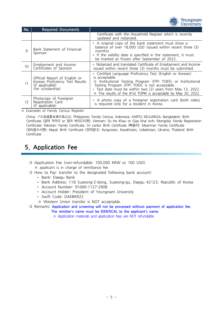

| No. | <b>Required Documents</b>                                                                                |                                                                                                                                                                                                                                                                                                                                   |
|-----|----------------------------------------------------------------------------------------------------------|-----------------------------------------------------------------------------------------------------------------------------------------------------------------------------------------------------------------------------------------------------------------------------------------------------------------------------------|
|     |                                                                                                          | Certificate with the Household Register which is recently<br>updated and notarized.                                                                                                                                                                                                                                               |
| 9   | Bank Statement of Financial<br>Sponsor                                                                   | • A original copy of the bank statement must show a<br>balance of over 18,000 USD (issued within recent three (3)<br>months).<br>• If the validity date is specified in the statement, it must<br>be marked as frozen after September of 2022.                                                                                    |
| 10  | Employment and Income<br>Certificates of Sponsor                                                         | • Notarized and translated Certificate of Employment and Income<br>issued within recent three (3) months must be submitted.                                                                                                                                                                                                       |
| 11  | Official Report of English or<br>Korean Proficiency Test Results<br>(if applicable)<br>(for scholarship) | • Certified Language Proficiency Test (English or Korean)<br>is acceptable.<br>Institutional Testing Program (ITP) TOEFL or Institutional<br>፠<br>Testing Program (ITP) TOEIC is not acceptable.<br>• Test date must be within two (2) years from May 13, 2022.<br>* The results of the 81st TOPIK is acceptable by May 20, 2022. |
| 12  | Photocopy of Foreigner<br>Registration Card<br>(if applicable)                                           | • A photo copy of a foreigner registration card (both sides)<br>is required only for a resident in Korea.                                                                                                                                                                                                                         |

Certificate; Pakistan: Family Certificate, Sri Lanka: Birth Certificate (빠울러); Myanmar: Family Certificate (잉타웅수사옌); Nepal: Birth Certificate (전마달다); Kyrgyzstan, Kazakhstan, Uzbekistan, Ukraine, Thailand: Birth Certificate

## **5. Application Fee**

- ❍ Application Fee (non-refundable: 100,000 KRW or 100 USD) **5. Application Fee**<br>
O Application Fee (non-refundable: 100,000 KRW<br>
<sup>\*</sup> applicant is in charge of remittance fee<br>
O How to Pay: transfer to the designated followin O Application Fee (non-refundable: 100,000 KRW or 100 USD)<br>
\* applicant is in charge of remittance fee<br>
O How to Pay: transfer to the designated following bank account:<br>
• Bank: Daegu Bank • Bank: The Address: 118 Suseong-2-dong, Suseong-gu, Daegu 42123, Republic of Korea • Account Number: 91000-1127-2908
	- -
		-
		-
		- Account Holder: President of Yeungnam University
		- Swift Code: DAEBKR22
		-
- Bank Address: 118 Suseong-2-dong, Suseong-gu, Daegu 4212<br>
 Bank Address: 118 Suseong-2-dong, Suseong-gu, Daegu 4212<br>
 Account Holder: President of Yeungnam University<br>
 Swift Code: DAEBKR22<br>
 Western Union transfer is **and Alternative Constrainers: Account Number:** 91000-1127-2908<br> **•** Account Holder: President of Yeungnam University<br>
• Swift Code: DAEBKR22<br>
• Western Union transfer is NOT acceptable.<br>
O Remarks: Application and scree • Account Holder: President of Yeungnam University<br>• Swift Code: DAEBKR22<br>• Western Union transfer is NOT acceptable.<br>• Western Union transfer is NOT acceptable.<br>• The remitter's name must be IDENTICAL to the applicant's n
	- -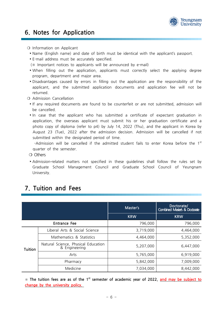

# **6. Notes for Application 6. Notes for Applicati**<br> **O** Information on Applicant<br> **Exame** (English name) and date

- **6. Notes for Application**<br>
 Information on Applicant<br>
▶Name (English name) and date of birth must be identical with the applicant's passport.<br>
▶E-mail address must be accurately specified. →<br>
→ O Information on Applicant<br>
→ Name (English name) and date of birth must be<br>
→ E-mail address must be accurately specified.<br>
→ E-mail address must be accurately specified.<br>
→ Manportant notices to applicants will be (
O Information on Applicant<br>
★ Name (English name) and date of birth must be identical with the a<br>
★ E-mail address must be accurately specified.<br>
(※ Important notices to applicants will be announced by e-mail)<br>
★ When f
	-
	-
- → Name (English name) and date of birth must be identical with the applicant's passport.<br>
→ E-mail address must be accurately specified.<br>
(※ Important notices to applicants will be announced by e-mail)<br>
→ When filling out program, department and major area. • E-mail address must be accurately specified.<br>
(※ Important notices to applicants will be announced by e-mail)<br>
• When filling out the application, applicants must correctly select the applying degree<br>
program, departmen
- applicant, and the submitted application documents and application fee will not be returned. program, department and majo<br>
• Disadvantages caused by errors<br>
applicant, and the submitted<br>
returned.<br>
O Admission Cancellation<br>
• If any required documents are • Disadvantages caused by errors in filling out the application are the responsibility of the applicant, and the submitted application documents and application fee will not be returned.<br>○ Admission Cancellation<br>• If any
	-
	- be cancelled. O Admission Cancellation<br>
	► If any required documents are found to be counterfeit or are not submitted, admission will<br>
	be cancelled.<br>
	► In case that the applicant who has submitted a certificate of expectant graduation i
- application, the overseas applicant must submit his or her graduation certificate and a photo copy of diploma (refer to p4) by July 14, 2022 (Thu), and the applicant in Korea by August 23 (Tue), 2022 after the admission decision. Admission will be cancelled if not submitted within the designated period of time. application, the overseas applicant must submit his or her graduation certificate and a<br>photo copy of diploma (refer to p4) by July 14, 2022 (Thu), and the applicant in Korea by<br>August 23 (Tue), 2022 after the admission d August 23 (Tue), 2022 afte<br>submitted within the designa<br>-Admission will be cancelled<br>quarter of the semester.<br>O Others<br>Admission-related matters no

st Submitted within the designated period of time.<br>
-Admission will be cancelled if the admitted student fails to enter Korea before the 1<sup>st</sup><br>
O Others<br>
• Admission-related matters not specified in these guidelines shall fol

Graduate School Management Council and Graduate School Council of Yeungnam University.

|                |                                                      | Master's   | Doctorate/<br>Combined Master's & Doctorate |
|----------------|------------------------------------------------------|------------|---------------------------------------------|
|                |                                                      | <b>KRW</b> | <b>KRW</b>                                  |
|                | Entrance Fee                                         | 796,000    | 796,000                                     |
| <b>Tuition</b> | Liberal Arts & Social Science                        | 3,719,000  | 4,464,000                                   |
|                | Mathematics & Statistics                             | 4,464,000  | 5,352,000                                   |
|                | Natural Science, Physical Education<br>& Engineering | 5,207,000  | 6,447,000                                   |
|                | Arts                                                 | 5,765,000  | 6,919,000                                   |
|                | Pharmacy                                             | 5,842,000  | 7,009,000                                   |
|                | Medicine                                             | 7,034,000  | 8,442,000                                   |

# **7. Tuition and Fees**

\* The tuition fees are as of the 1<sup>st</sup> semester of academic year of 2022, and may be subject to **change by the university policy.**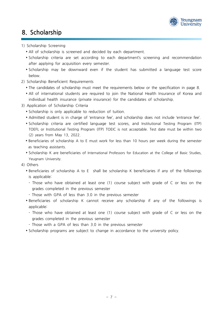

# **8. Scholarship**

#### 1) Scholarship Screening

- ▸All of scholarship is screened and decided by each department.
- Scholarship Screening<br>
 All of scholarship is screened and decided by each department.<br>
 Scholarship criteria are set according to each department's screening and recommendation<br>
after applying for acquisition every se after applying for acquisition every semester. → All of scholarship is screened and decided by each department.<br>
→ Scholarship criteria are set according to each department's screening and recommendation<br>
after applying for acquisition every semester.<br>
→ Scholarship m
	- below. • Scholarship may be downward even if the student has submitted a language test score<br>below.<br>Scholarship Beneficient Requirements<br>► The candidates of scholarship must meet the requirements below or the specification in pa
- 2) Scholarship Beneficient Requirements
	-
- → Scholarship Thay be downward event in the student Thas submitted a language test score<br>
below.<br>
2) Scholarship Beneficient Requirements<br>
► The candidates of scholarship must meet the requirements below or the specificat individual health insurance (private insurance) for the candidates of scholarship. • The candidates of scholarship must meet the requirements<br>
• All of international students are required to join the Nat<br>
individual health insurance (private insurance) for the can<br>
3) Application of Scholarship Criteria<br>
- 3) Application of Scholarship Criteria
	-
	- → Scholarship is only applicable to reduction of tuition.<br>► Admitted student is in charge of 'entrance fee', and scholarship does not include 'entrance fee'.<br>► Scholarship criteria are certified language test scores, and
- Application of Scholarship Criteria<br>
► Scholarship is only applicable to reduction of tuition.<br>
► Admitted student is in charge of 'entrance fee', and scholarship does not include 'entrance fee'.<br>
► Scholarship criteria a (2) years from May 13, 2022. → Scholarship criteria are certified language test scores, and Institutional Testing Program (ITP)<br>
TOEFL or Institutional Testing Program (ITP) TOEIC is not acceptable. Test date must be within two<br>
(2) years from May 13 FOEFL or Institutional Testing Program (ITP) TOEIC is not acceptable. Test date must be within two<br>
(2) years from May 13, 2022.<br>
• Beneficiaries of scholarship A to E must work for less than 10 hours per week during the s
	-
	- Yeugnam University. • Scholarship K are beneficiaries of International Professors for Education at the College of Basic Studies,<br>
	→ Scholarship K are beneficiaries of International Professors for Education at the College of Basic Studies,<br>
	→
- 4) Others
- is applicable: - Those who have obtained at least one (1) course subject with grade of C or less on the<br>
1 Those who have obtained at least one (1) course subject with grade of C or less on the<br>
1 Those completed in the previous semester
- grades completed in the previous semester Solutionship A to L Shan be scholarship K behender<br>is applicable:<br>- Those who have obtained at least one (1) course subject with<br>grades completed in the previous semester<br>- Those with GPA of less than 3.0 in the previous s • Those who have obtained at least one (1) course subject with grade of C or less on the grades completed in the previous semester<br>• Those with GPA of less than 3.0 in the previous semester<br>• Beneficiaries of scholarship
	-
- applicable: Filter Those with GPA of less than 3.0 in the previous semester<br>
For Filter Those who have obtained at least one (1) course subject with grade of C or less on the<br>
Those who have obtained at least one (1) course subject wi
- grades completed in the previous semester senencialies of scholarship is cannot receive any scholarship in<br>applicable:<br>- Those who have obtained at least one (1) course subject with<br>grades completed in the previous semester<br>- Those with a GPA of less than 3.0 in t → Those who have obtained at least one (1) course subject with grade of C or less on the grades completed in the previous semester<br>- Those with a GPA of less than 3.0 in the previous semester<br>- Scholarship programs are su
	-
	-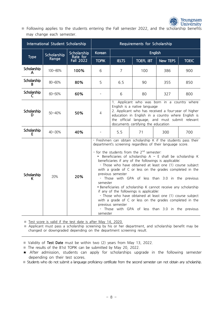

※ Following applies to the students entering the Fall semester 2022, and the scholarship benefits may change each semester.

|                   | International Student Scholarship     |             | Requirements for Scholarship                                                                                                                                                                                                                                                                                                                                                                                                                                                                                                                                                                                                                                                                                                                                                                                                                                    |                                                                                                                                                                                                                                                                                    |                  |          |              |  |
|-------------------|---------------------------------------|-------------|-----------------------------------------------------------------------------------------------------------------------------------------------------------------------------------------------------------------------------------------------------------------------------------------------------------------------------------------------------------------------------------------------------------------------------------------------------------------------------------------------------------------------------------------------------------------------------------------------------------------------------------------------------------------------------------------------------------------------------------------------------------------------------------------------------------------------------------------------------------------|------------------------------------------------------------------------------------------------------------------------------------------------------------------------------------------------------------------------------------------------------------------------------------|------------------|----------|--------------|--|
|                   | Scholarship                           | Scholarship | <b>Korean</b>                                                                                                                                                                                                                                                                                                                                                                                                                                                                                                                                                                                                                                                                                                                                                                                                                                                   | <b>English</b>                                                                                                                                                                                                                                                                     |                  |          |              |  |
| <b>Type</b>       | Rate for<br>Range<br><b>Fall 2022</b> |             | <b>TOPIK</b>                                                                                                                                                                                                                                                                                                                                                                                                                                                                                                                                                                                                                                                                                                                                                                                                                                                    | <b>IELTS</b>                                                                                                                                                                                                                                                                       | <b>TOEFL IBT</b> | New TEPS | <b>TOEIC</b> |  |
| Scholarship<br>A  | 100~80%                               | 100%        | 6                                                                                                                                                                                                                                                                                                                                                                                                                                                                                                                                                                                                                                                                                                                                                                                                                                                               | 7                                                                                                                                                                                                                                                                                  | 100              | 386      | 900          |  |
| Scholarship<br>B  | 80~60%                                | 80%         | 5                                                                                                                                                                                                                                                                                                                                                                                                                                                                                                                                                                                                                                                                                                                                                                                                                                                               | 6.5                                                                                                                                                                                                                                                                                | 90               | 355      | 850          |  |
| Scholarship<br>C  | $60 - 50%$                            | 60%         |                                                                                                                                                                                                                                                                                                                                                                                                                                                                                                                                                                                                                                                                                                                                                                                                                                                                 | 6                                                                                                                                                                                                                                                                                  | 80               | 327      | 800          |  |
| Scholarship<br>D  | $50 - 40%$                            | 50%         | $\overline{4}$                                                                                                                                                                                                                                                                                                                                                                                                                                                                                                                                                                                                                                                                                                                                                                                                                                                  | 1. Applicant who was born in a country where<br>English is a native language<br>2. Applicant who has received a four-year of higher<br>education in English in a country where English is<br>the official language, and must submit relevant<br>documents certifying the education |                  |          |              |  |
| Scholarship<br>F  | $40 - 30%$                            | 40%         |                                                                                                                                                                                                                                                                                                                                                                                                                                                                                                                                                                                                                                                                                                                                                                                                                                                                 | 5.5                                                                                                                                                                                                                                                                                | 71               | 300      | 700          |  |
| Scholarship<br>K. | 20%                                   | 20%         | - Freshmen can obtain scholarship K if the students pass their<br>department's screening regardless of their language score.<br>- for the students from the $2^{nd}$ semester:<br>Example 1 Seneficiaries of scholarship A $\sim$ E shall be scholarship K<br>beneficiaries if any of the followings is applicable:<br>- Those who have obtained at least one (1) course subject<br>with a grade of C or less on the grades completed in the<br>previous semester<br>- Those with GPA of less than 3.0 in the previous<br>semester<br>> Beneficiaries of scholarship K cannot receive any scholarship<br>if any of the followings is applicable:<br>- Those who have obtained at least one (1) course subject<br>with a grade of C or less on the grades completed in the<br>previous semester<br>- Those with GPA of less than 3.0 in the previous<br>semester |                                                                                                                                                                                                                                                                                    |                  |          |              |  |

※ Test score is valid if the test date is after May 14, 2020.

※ Applicant must pass a scholarship screening by his or her department, and scholarship benefit may be changed or downgraded depending on the department screening result.

※ Validity of **Test Date** must be within two (2) years from May 13, 2022.

※ The results of the 81st TOPIK can be submitted by May 20, 2022.

※Studentswhodonot submitalanguageproficiencycertificatefromthe second semester cannotobtainany scholarship.

<sup>★</sup> After admission, students can apply for scholarships upgrade in the following semester depending on their test scores.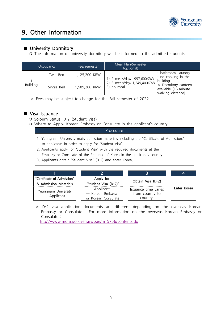

# **9. Other Information**

#### **■ University Dormitory**

|                                                                                                                | 9. UUIEI IIIIUIIIIAUUII                                        |               |                                            |                                                                              |  |  |  |
|----------------------------------------------------------------------------------------------------------------|----------------------------------------------------------------|---------------|--------------------------------------------|------------------------------------------------------------------------------|--|--|--|
| ■ University Dormitory<br>O The information of university dormitory will be informed to the admitted students. |                                                                |               |                                            |                                                                              |  |  |  |
|                                                                                                                | Meal Plan/Semester<br>Fee/Semester<br>Occupancy<br>(optional)  |               |                                            |                                                                              |  |  |  |
|                                                                                                                | Twin Bed                                                       | 1,125,200 KRW | 1) 2 meals/day: 997,600KRW                 | bathroom, laundry<br>no cooking in the                                       |  |  |  |
| <b>Building</b>                                                                                                | Single Bed                                                     | 1,589,200 KRW | 2) 3 meals/day: 1,349,400KRW<br>3) no meal | building<br>* Dormitory canteen<br>available (15-minute<br>walking distance) |  |  |  |
|                                                                                                                | * Fees may be subject to change for the Fall semester of 2022. |               |                                            |                                                                              |  |  |  |

#### **■ Visa Issuance**

- 
- <p>≈ Fees may be subject to change for the</p>\n<p>■ Visa Issuance</p>\n<p>○ Sojourn Status: D-2 (Student Visa)</p>\n<p>○ Where to Apply: Korean Embassy or C</p> O Sojourn Status: D-2 (Student Visa)<br>O Where to Apply: Korean Embassy or Consulate in the applicant's country

#### Procedure

- ojourn Status: D-2 (Student Visa)<br>Vhere to Apply: Korean Embassy or Consulate in the applicant's country<br>Procedure<br>1. Yeungnam University mails admission materials including the "Certificate of Admission,"<br>to applicants in Vhere to Apply: Korean Embassy or Consulate in the Procedure<br>1. Yeungnam University mails admission materials includir<br>1. Yeungnam University mails admission materials includir<br>1. Applicants in order to apply for "Student
- 1. Yeungnam Ur<br>to applicants<br>2. Applicants ap<br>Embassy or C<br>3. Applicants ob 2. Applicants apply for "Student Visa" with the required documents at the 1. Yeungnam University mails admission materials including the "Certificate of Ad<br>to applicants in order to apply for "Student Visa".<br>2. Applicants apply for "Student Visa" with the required documents at the<br>Embassy or Con
	- 3. Applicants obtain "Student Visa" (D-2) and enter Korea.

| "Certificate of Admission"<br>& Admission Materials | Apply for<br>"Student Visa (D-2)"                                | Obtain Visa (D-2)                                   |             |
|-----------------------------------------------------|------------------------------------------------------------------|-----------------------------------------------------|-------------|
| Yeungnam University<br>$\rightarrow$ Applicant      | Applicant<br>$\rightarrow$ Korean Embassy<br>or Korean Consulate | Issuance time varies<br>from country to<br>country. | Enter Korea |

Embassy or Consulate. For more information on the overseas Korean Embassy or Consulate : where the consulate<br>
\* D-2 visa application documents are different dep<br>
Embassy or Consulate. For more information on<br>
Consulate :<br> [http://www.mofa.go.kr/eng/wpge/m\\_5756/contents.do](http://www.mofa.go.kr/eng/wpge/m_5756/contents.do)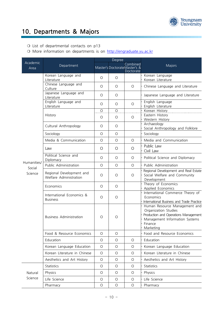

# **10. Departments & Majors 10. Departments & Majors**<br> **O** List of departmental contacts on p13<br> **O** More information on departments is on http:/

# O List of departmental contacts on p13<br>O More information on departments is on <http://engraduate.yu.ac.kr>

| Academic          |                                                    | Degree     |            |                                                       |                                                                                                                                                         |  |
|-------------------|----------------------------------------------------|------------|------------|-------------------------------------------------------|---------------------------------------------------------------------------------------------------------------------------------------------------------|--|
| Area              | Department                                         |            |            | Combined<br>Master's DoctorateMaster's &<br>Doctorate | Majors                                                                                                                                                  |  |
|                   | Korean Language and                                | $\circ$    | $\circ$    |                                                       | Korean Language                                                                                                                                         |  |
|                   | Literature                                         |            |            |                                                       | Korean Literature                                                                                                                                       |  |
|                   | Chinese Language and<br>Culture                    | $\circ$    | $\circ$    | $\circ$                                               | Chinese Language and Literature                                                                                                                         |  |
|                   | Japanese Language and<br>Literature                | $\circ$    | $\circ$    |                                                       | Japanese Language and Literature                                                                                                                        |  |
|                   | English Language and<br>Literature                 | $\circ$    | $\circ$    | O                                                     | English Language<br>English Literature                                                                                                                  |  |
|                   |                                                    | $\circ$    | $\circ$    |                                                       | Korean History                                                                                                                                          |  |
|                   | History                                            | $\circ$    | $\circ$    | O                                                     | Eastern History<br>Western History                                                                                                                      |  |
|                   | Cultural Anthropology                              | $\circ$    | $\circ$    |                                                       | Archaeology<br>Social Anthropology and Folklore                                                                                                         |  |
|                   | Sociology                                          | $\bigcirc$ | $\circ$    |                                                       | Sociology                                                                                                                                               |  |
|                   | Media & Communication                              | $\circ$    | $\circ$    | $\circ$                                               | Media and Communication                                                                                                                                 |  |
|                   | Law                                                | O          | O          | 0                                                     | Public Law<br>Civil Law                                                                                                                                 |  |
|                   | Political Science and<br>Diplomacy                 | $\circ$    | O          | O                                                     | Political Science and Diplomacy                                                                                                                         |  |
| Humanities/       | Public Administration                              | $\bigcirc$ | $\circ$    | $\circ$                                               | Public Administration                                                                                                                                   |  |
| Social<br>Science | Regional Development and<br>Welfare Administration | $\circ$    | O          | $\circ$                                               | Regional Development and Real Estate<br>Social Welfare and Community<br>Development                                                                     |  |
|                   | Economics                                          | $\circ$    | $\circ$    |                                                       | Theory of Economics<br>Applied Economics                                                                                                                |  |
|                   | International Economics &<br><b>Business</b>       | $\circ$    | $\circ$    |                                                       | International Commerce Theory of<br>Economics<br>International Business and Trade Practice                                                              |  |
|                   | <b>Business Administration</b>                     | $\circ$    | О          |                                                       | Human Resource Management and<br>Organization Studies<br>Production and Operations Management<br>Management Information Systems<br>Finance<br>Marketing |  |
|                   | Food & Resource Economics                          | $\circ$    | $\circ$    |                                                       | Food and Resource Economics                                                                                                                             |  |
|                   | Education                                          | $\circ$    | $\circ$    | O                                                     | Education                                                                                                                                               |  |
|                   | Korean Language Education                          | $\circ$    | $\circ$    | $\bigcirc$                                            | Korean Language Education                                                                                                                               |  |
|                   | Korean Literature in Chinese                       | $\bigcirc$ | $\circ$    | $\bigcirc$                                            | Korean Literature in Chinese                                                                                                                            |  |
|                   | Aesthetics and Art History                         | $\bigcirc$ | $\bigcirc$ | $\bigcirc$                                            | Aesthetics and Art History                                                                                                                              |  |
|                   | Statistics                                         | $\bigcirc$ | $\circ$    | $\bigcirc$                                            | Statistics                                                                                                                                              |  |
| Natural           | Physics                                            | $\circ$    | $\circ$    | $\bigcirc$                                            | Physics                                                                                                                                                 |  |
| Science           | Life Science                                       | $\circ$    | $\circ$    | $\bigcirc$                                            | Life Science                                                                                                                                            |  |
|                   | Pharmacy                                           | $\bigcirc$ | $\bigcirc$ | $\bigcirc$                                            | Pharmacy                                                                                                                                                |  |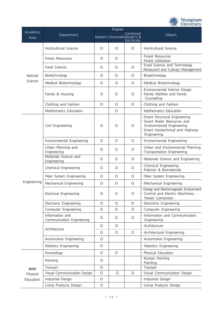

|                  |                                              | Degree     |         |                                                       |                                                                                                                                         |  |
|------------------|----------------------------------------------|------------|---------|-------------------------------------------------------|-----------------------------------------------------------------------------------------------------------------------------------------|--|
| Academic<br>Area | Department                                   |            |         | Combined<br>Master's DoctorateMaster's &<br>Doctorate | Majors                                                                                                                                  |  |
|                  | Horticultural Science                        | O          | O       | O                                                     | Horticultural Science                                                                                                                   |  |
|                  | Forest Resources                             | $\circ$    | O       |                                                       | Forest Resources<br>Forest Utilization                                                                                                  |  |
|                  | Food Science                                 | $\circ$    | O       | $\circ$                                               | Food Science and Technology<br>Restaurant and Culinary Management                                                                       |  |
| Natural          | Biotechnology                                | $\circ$    | O       | O                                                     | Biotechnology                                                                                                                           |  |
| Science          | Medical Biotechnology                        | $\circ$    | O       | $\circ$                                               | Medical Biotechnology                                                                                                                   |  |
|                  | Family & Housing                             | $\circ$    | O       | $\circ$                                               | Environmental Interior Design<br>Family Welfare and Family<br>Counseling                                                                |  |
|                  | Clothing and Fashion                         | $\circ$    | O       | $\circ$                                               | Clothing and Fashion                                                                                                                    |  |
|                  | Mathematics Education                        |            | O       |                                                       | Mathematics Education                                                                                                                   |  |
|                  | Civil Engineering                            | $\circ$    | O       | $\circ$                                               | Smart Structural Engineering<br>Smart Water Resources and<br>Environmental Engineering<br>Smart Geotechnical and Highway<br>Engineering |  |
|                  | Environmental Engineering                    | $\circ$    | O       | $\circ$                                               | Environmental Engineering                                                                                                               |  |
|                  | Urban Planning and<br>Engineering            | $\circ$    | O       | $\circ$                                               | Urban and Environmental Planning<br>Transportation Engineering                                                                          |  |
|                  | Materials Science and<br>Engineering         | $\circ$    | O       | $\circ$                                               | Materials Science and Engineering                                                                                                       |  |
|                  | Chemical Engineering                         | $\circ$    | O       | $\circ$                                               | Chemical Engineering<br>Polymer & Biomaterials                                                                                          |  |
|                  | Fiber System Engineering                     | $\circ$    | O       | $\circ$                                               | Fiber System Engineering                                                                                                                |  |
| Engineering      | Mechanical Engineering                       | $\circ$    | $\circ$ | $\circ$                                               | Mechanical Engineering                                                                                                                  |  |
|                  | Electrical Engineering                       | $\circ$    | O       | O                                                     | Energy and Electromagnetic Environment<br>Control and Electric Machinery .<br>Power Conversion                                          |  |
|                  | Electronic Engineering                       | $\circ$    | $\circ$ | $\circ$                                               | Electronic Engineering                                                                                                                  |  |
|                  | Computer Engineering                         | $\circ$    | O       | $\circ$                                               | Computer Engineering                                                                                                                    |  |
|                  | Information and<br>Communication Engineering | O          | O       | O                                                     | Information and Communication<br>Engineering                                                                                            |  |
|                  | Architecture                                 | $\circ$    | $\circ$ |                                                       | Architecture                                                                                                                            |  |
|                  |                                              | $\circ$    | O       | $\circ$                                               | Architectural Engineering                                                                                                               |  |
|                  | Automotive Engineering                       | $\circ$    |         |                                                       | Automotive Engineering                                                                                                                  |  |
|                  | Robotics Engineering                         | $\circ$    |         |                                                       | Robotics Engineering                                                                                                                    |  |
|                  | Kinesiology                                  | $\circ$    | $\circ$ |                                                       | Physical Education                                                                                                                      |  |
|                  | Painting                                     | $\circ$    |         |                                                       | Korean Painting<br>Painting                                                                                                             |  |
| Arts/            | Transart                                     | $\circ$    |         |                                                       | Transart                                                                                                                                |  |
| Physical         | Visual Communication Design                  | $\circ$    | $\circ$ | $\circ$                                               | Visual Communication Design                                                                                                             |  |
| Education        | Industrial Design                            | $\circ$    |         |                                                       | Industrial Design                                                                                                                       |  |
|                  | Living Products Design                       | $\bigcirc$ |         |                                                       | Living Products Design                                                                                                                  |  |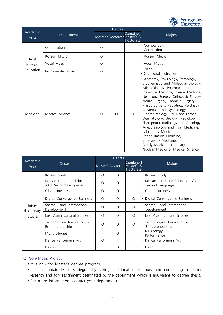

| Academic  | Department         |         | Degree   |                                                       |                                                                                                                                                                                                                                                                                                                                                                                                                                                                                                                                                                                                             |
|-----------|--------------------|---------|----------|-------------------------------------------------------|-------------------------------------------------------------------------------------------------------------------------------------------------------------------------------------------------------------------------------------------------------------------------------------------------------------------------------------------------------------------------------------------------------------------------------------------------------------------------------------------------------------------------------------------------------------------------------------------------------------|
| Area      |                    |         |          | Combined<br>Master's DoctorateMaster's &<br>Doctorate | Majors                                                                                                                                                                                                                                                                                                                                                                                                                                                                                                                                                                                                      |
|           | Composition        | O       |          |                                                       | Composition<br>Conducting                                                                                                                                                                                                                                                                                                                                                                                                                                                                                                                                                                                   |
| Arts/     | Korean Music       | $\circ$ |          |                                                       | Korean Music                                                                                                                                                                                                                                                                                                                                                                                                                                                                                                                                                                                                |
| Physical  | Vocal Music        | $\circ$ |          |                                                       | Vocal Music                                                                                                                                                                                                                                                                                                                                                                                                                                                                                                                                                                                                 |
| Education | Instrumental Music | $\circ$ |          |                                                       | Piano<br>Orchestral Instrument                                                                                                                                                                                                                                                                                                                                                                                                                                                                                                                                                                              |
| Medicine  | Medical Science    | $\circ$ | $\Omega$ | $\circ$                                               | Anatomy, Physiology, Pathology,<br>Biochemistry and Molecular Biology,<br>Micro-Biology, Pharmacology,<br>Preventive Medicine, Internal Medicine,<br>Neurology, Surgery, Orthopedic Surgery,<br>Neuro-Surgery, Thoracic Surgery,<br>Plastic Surgery, Pediatrics, Psychiatry,<br>Obstetrics and Gynecology,<br>Ophthalmology, Ear Nose Throat<br>Dermatology, Urology, Radiology,<br>Therapeutic Radiology and Oncology,<br>Anesthesiology and Pain Medicine,<br>Laboratory Medicine,<br>Rehabilitation Medicine,<br>Emergency Medicine,<br>Family Medicine, Dentistry,<br>Nuclear Medicine, Medical Science |

| Academic                                                                                                                                                     |                                                   |          | Degree   |                                                       |                                                   |  |  |
|--------------------------------------------------------------------------------------------------------------------------------------------------------------|---------------------------------------------------|----------|----------|-------------------------------------------------------|---------------------------------------------------|--|--|
| Area                                                                                                                                                         | Department                                        |          |          | Combined<br>Master's DoctorateMaster's &<br>Doctorate | Majors                                            |  |  |
|                                                                                                                                                              | Korean Study                                      | O        | O        |                                                       | Korean Study                                      |  |  |
|                                                                                                                                                              | Korean Language Education<br>As a Second Language | $\circ$  | O        |                                                       | Korean Language Education As a<br>Second Language |  |  |
|                                                                                                                                                              | Global Business                                   | $\circ$  | $\circ$  |                                                       | Global Business                                   |  |  |
|                                                                                                                                                              | Digital Convergence Business                      | $\circ$  | $\circ$  | $\circ$                                               | Digital Convergence Business                      |  |  |
| Inter-<br>disciplinary                                                                                                                                       | Saemaul and International<br>Development          | O        | $\Omega$ | O                                                     | Saemaul and International<br>Development          |  |  |
| <b>Studies</b>                                                                                                                                               | East Asian Cultural Studies                       | O        | O        | O                                                     | East Asian Cultural Studies                       |  |  |
|                                                                                                                                                              | Technological Innovation &<br>Entrepreneurship    | $\Omega$ | $\Omega$ | $\circ$                                               | Technological Innovation &<br>Entrepreneurship    |  |  |
|                                                                                                                                                              | Music Studies                                     |          | $\circ$  |                                                       | Musicology<br>Performance                         |  |  |
|                                                                                                                                                              | Dance Performing Art                              | $\Omega$ |          |                                                       | Dance Performing Art                              |  |  |
|                                                                                                                                                              | Design                                            |          | $\circ$  |                                                       | Design                                            |  |  |
| O Non-Thesis Project:<br>It is only for Master's degree program.<br>It is to obtain Master's degree by taking additional class hours and conducting academic |                                                   |          |          |                                                       |                                                   |  |  |

#### ❍ **Non-Thesis Project**:

- 
- <u>Design<br>
O Non-Thesis Project:</u><br>
►It is only for Master's degree program.<br>
►It is to obtain Master's degree by taking additional class hours and conducting academic<br>
research and (or) assignment designated by the departme research and (or) assignment designated by the department which is equivalent to degree thesis. → It is only for Master's degree program.<br>
→ It is to obtain Master's degree by taking addition.<br>
For more information, contact your department.<br>
→ For more information, contact your department.
	-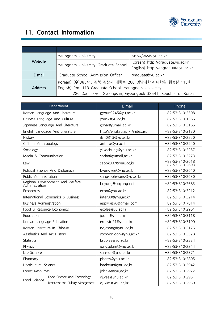

# **11. Contact Information**

| Website        | Yeungnam University                                          | http://www.yu.ac.kr                 |  |
|----------------|--------------------------------------------------------------|-------------------------------------|--|
|                |                                                              | Korean) http://graduate.yu.ac.kr    |  |
|                | Yeungnam University Graduate School                          | English) http://engraduate.yu.ac.kr |  |
| E-mail         | Graduate School Admission Officer                            | graduate@yu.ac.kr                   |  |
|                | Korean) (우) 38541, 경북 경산시 대학로 280 영남대학교 대학원 행정실 113호         |                                     |  |
| <b>Address</b> | English) Rm. 113 Graduate School, Yeungnam University        |                                     |  |
|                | 280 Daehak-ro, Gyeongsan, Gyeongbuk 38541, Republic of Korea |                                     |  |

|                                | Department                         | E-mail                             | Phone                              |
|--------------------------------|------------------------------------|------------------------------------|------------------------------------|
|                                | Korean Language And Literature     | gyoun9245@yu.ac.kr                 | +82-53-810-2508                    |
|                                | Chinese Language And Culture       | yousk@yu.ac.kr                     | +82-53-810-1566                    |
|                                | Japanese Language And Literature   | gsna@yumail.ac.kr                  | +82-53-810-3165                    |
|                                | English Language And Literature    | http://engl.yu.ac.kr/index.jsp     | +82-53-810-2130                    |
| History                        |                                    | jlyn0313@yu.ac.kr                  | +82-53-810-2220                    |
| Cultural Anthropology          |                                    | anthro@yu.ac.kr                    | +82-53-810-2240                    |
| Sociology                      |                                    | ykyochung@ynu.ac.kr                | +82-53-810-2257                    |
| Media & Communication          |                                    | spdm@yumail.ac.kr                  | +82-53-810-2273                    |
| Law                            |                                    | seobk307@ynu.ac.kr                 | +82-53-810-2618<br>+82-53-810-2693 |
|                                | Political Science And Diplomacy    | byungkee@ynu.ac.kr                 | +82-53-810-2640                    |
| Public Administration          |                                    | sungsoohwang@yu.ac.kr              | +82-53-810-2630                    |
| Administration                 | Regional Development And Welfare   | boyung@boyung.net                  | +82-53-810-2683                    |
| Economics                      |                                    | econ@ynu.ac.kr                     | +82-53-810-3212                    |
|                                | International Economics & Business | inter00@ynu.ac.kr                  | +82-53-810-3214                    |
| <b>Business Administration</b> |                                    | applybizyu@gmail.com               | +82-53-810-7814                    |
| Food & Resource Economics      |                                    | ecolee@yu.ac.kr                    | +82-53-810-2961                    |
| Education                      |                                    | joonh@yu.ac.kr                     | +82-53-810-3118                    |
| Korean Language Education      |                                    | ernesto21@yu.ac.kr                 | +82-53-810-3190                    |
| Korean Literature In Chinese   |                                    | nojasong@ynu.ac.kr                 | +82-53-810-3175                    |
| Aesthetics And Art History     |                                    | yoowonjoon@ynu.ac.kr               | +82-53-810-3328                    |
| <b>Statistics</b>              |                                    | ksublee@yu.ac.kr                   | +82-53-810-2324                    |
| Physics                        |                                    | jongsukim@ynu.ac.kr                | +82-53-810-2344                    |
| Life Science                   |                                    | sunside@ynu.ac.kr                  | +82-53-810-2371                    |
| Pharmacy                       |                                    | pharm@ynu.ac.kr                    | +82-53-810-2805                    |
| Horticultural Science          |                                    | haekeun@ynu.ac.kr                  | +82-53-810-2942                    |
| Forest Resources               |                                    | johnlee@yu.ac.kr                   | +82-53-810-2922                    |
|                                | Food Science and Technology        | yjwee@ynu.ac.kr<br>+82-53-810-2951 |                                    |
| Food Science                   | Restaurant and Culinary Management | dj-kim@ynu.ac.kr                   | +82-53-810-2959                    |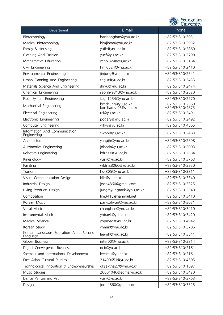|                                                   | Yeungnam<br>University                   |                                    |  |
|---------------------------------------------------|------------------------------------------|------------------------------------|--|
| Department                                        | E-mail                                   | Phone                              |  |
| Biotechnology                                     | hanhongbae@ynu.ac.kr                     | +82-53-810-3031                    |  |
| Medical Biotechnology                             | kimjihoe@ynu.ac.kr                       | +82-53-810-3032                    |  |
| Family & Housing                                  | yufh@ynu.ac.kr                           | +82-53-810-2860                    |  |
| Clothing And Fashion                              | yucf@yu.ac.kr                            | +82-53-810-2790                    |  |
| Mathematics Education                             | ychoi824@yu.ac.kr                        | +82-53-810-3184                    |  |
| Civil Engineering                                 | hmi0524@ynu.ac.kr                        | +82-53-810-2410                    |  |
| Environmental Engineering                         | jinjung@ynu.ac.kr                        | +82-53-810-2541                    |  |
| Urban Planning And Engineering                    | tpgist@yu.ac.kr                          | +82-53-810-2435                    |  |
| Materials Science And Engineering                 | jhryu@ynu.ac.kr                          | +82-53-810-2474                    |  |
| Chemical Engineering                              | seonhye813@ynu.ac.kr                     | +82-53-810-2520                    |  |
| Fiber System Engineering                          | fage1234@ynu.ac.kr                       | +82-53-810-2770                    |  |
| Mechanical Engineering                            | bmchung@yu.ac.kr<br>korchamss96@yu.ac.kr | +82-53-810-2569<br>+82-53-810-4873 |  |
| <b>Electrical Engineering</b>                     | rcl@yu.ac.kr                             | +82-53-810-2491                    |  |
| Electronic Engineering                            | pogary@ynu.ac.kr                         | +82-53-810-2492                    |  |
| Computer Engineering                              | yrhyy@yu.ac.kr                           | +82-53-810-4565                    |  |
| Information And Communication<br>Engineering      | swon@yu.ac.kr                            | +82-53-810-2483                    |  |
| Architecture                                      | yangjh@ynu.ac.kr                         | +82-53-810-2598                    |  |
| Automotive Engineering                            | jdbaek@yu.ac.kr                          | +82-53-810-3003                    |  |
| Robotics Engineering                              | kdrhee@yu.ac.kr                          | +82-53-810-2584                    |  |
| Kinesiology                                       | yusk@yu.ac.kr                            | +82-53-810-3763                    |  |
| Painting                                          | wldnjs8066@yu.ac.kr                      | +82-53-810-3320                    |  |
| Transart                                          | hsk805@ynu.ac.kr                         | +82-53-810-3311                    |  |
| Visual Communication Design                       | kije@yu.ac.kr                            | +82-53-810-3340                    |  |
| Industrial Design                                 | joon4860@gmail.com                       | +82-53-810-3325                    |  |
| Living Products Design                            | jungmyungtaek@ynu.ac.kr                  | +82-53-810-3340                    |  |
| Composition                                       | lim3416@hanmail.net                      | +82-53-810-3410                    |  |
| Korean Music                                      | parksohyun@ynu.ac.kr                     | +82-53-810-3031                    |  |
| Vocal Music                                       | changhee@ynu.ac.kr                       | +82-53-810-3410                    |  |
| Instrumental Music                                | yhbaek@yu.ac.kr                          | +82-53-810-3420                    |  |
| Medical Science                                   | ynpmed@ynu.ac.kr                         | +82-53-810-4942                    |  |
| Korean Study                                      | ynmin@ynu.ac.kr                          | +82-53-810-3706                    |  |
| Korean Language Education As a Second<br>Language | leemh@ynu.ac.kr                          | +82-53-810-3541                    |  |
| Global Business                                   | inter00@ynu.ac.kr                        | +82-53-810-3214                    |  |
| Digital Convergence Business                      | dcb@yu.ac.kr                             | +82-53-810-2161                    |  |
| Saemaul and International Development             | leesmu@yu.ac.kr                          | +82-53-810-2161                    |  |
| East Asian Cultural Studies                       | 21400651@yu.ac.kr                        | +82-53-810-4505                    |  |
| Technological Innovation & Entrepreneurship       | gksektha27@ynu.ac.kr                     | +82-53-810-1597                    |  |
| Music Studies                                     | 20001046@edms.yu.ac.kr                   | +82-53-810-3420                    |  |
| Dance Performing Art                              | yusk@yu.ac.kr                            | +82-53-810-3763                    |  |
| Design                                            | joon4860@gmail.com                       | +82-53-810-3325                    |  |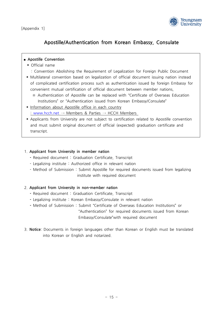

### **Apostille/Authentication from Korean Embassy, Consulate**

# ■ **Apostille Convention** Apostille<br>■ Apostille Conventior<br>● Official name<br>© Convention Abo

- 
- Apostille Convention<br>
▶ Official name<br>
: Convention Abolishing the Requirement of Legalization for Foreign Public Document<br>
▶ Multilateral convention based on legalization of official document issuing nation instead
- ► Official name<br>
 Convention Abolishing the Requirement of Legalization for Foreign Public Document<br>
 Multilateral convention based on legalization of official document issuing nation instead<br>
of complicated certificati Convention Abolishing the Requirement of Legalization for Foreign Public Docum<br>► Multilateral convention based on legalization of official document issuing nation ins<br>of complicated certification process such as authentic ■ Multilateral convention based on legalization of official document issuing nation instead<br>
of complicated certification process such as authentication issued by foreign Embassy for<br>
convenient mutual certification of of of complicated certification process such as authentication issued by foreign Embassy for<br>
convenient mutual certification of official document between member nations,<br>  $\frac{1}{2}$  Authentication of Apostille can be replaced
- :www.hcch.net → Members & Parties → HCCH Members<br>
→ Membian about Apostille office in each country<br>
→ Members & Parties → HCCH Members<br>
→ Applicants from University are not subject to certification related to Apostille c
- ‣ Information about Apostille office in each country
- Andrehmation submit chean Embassy/Consulate<br>  $\frac{1}{2}$  information about Apostille office in each country<br>  $\frac{1}{2}$  WWW.hcch.net  $\rightarrow$  Members & Parties  $\rightarrow$  HCCH Members<br>
Applicants from University are not subject to cer transcript.<br>
■ Applicants from<br>
and must submi<br>
transcript.

#### 1. **Applicant from University in member nation**

- 
- Required document : Graduation Certificate, Transcript<br>- Legalizing institute : Authorized office in relevant nation 1. Applicant from University in member nation<br>- Required document : Graduation Certificate, Transcript<br>- Legalizing institute : Authorized office in relevant nation<br>- Method of Submission : Submit Apostille for required do
- 1. Applicant from University in member nation<br>- Required document : Graduation Certificate, Transcript<br>- Legalizing institute : Authorized office in relevant nation<br>- Method of Submission : Submit Apostille for required do - Required document : Graduation Certificate, Transcript<br>- Required document : Graduation Certificate, Transcript<br>- Legalizing institute : Authorized office in relevant nation<br>- Method of Submission : Submit Apostille for

#### 2. **Applicant from University in non-member nation**

- 
- institute with required document<br> **Applicant from University in non-member nation**<br> **-** Required document : Graduation Certificate, Transcript<br> **-** Legalizing institute : Korean Embassy/Consulate in relevant nation **2. Applicant from University in non-member nation<br>
- Required document : Graduation Certificate, Transcript<br>
- Legalizing institute : Korean Embassy/Consulate in relevant nation<br>
- Method of Submission : Submit "Certifica**
- **2. Applicant from University in non-member nation<br>
 Required document : Graduation Certificate, Transcript<br>
 Legalizing institute : Korean Embassy/Consulate in relevant nation<br>
 Method of Submission : Submit "Certific** - Required document : Graduation Certificate, Transcript<br>
- Required document : Graduation Certificate, Transcript<br>
- Method of Submission : Submit "Certificate of Overseas Education Institutions" or<br>
"Authentication" for Embassy/Consulate in relevant nation<br>
- Legalizing institute : Korean Embassy/Consulate in relevant nation<br>
- Method of Submission : Submit "Certificate of Overseas Education Institute"<br>
- "Authentication" for required doc
- 3. **Notice**: Documents in foreign languages other than Korean or English must be translated Embassy/Consulate"with<br>
3. Notice: Documents in foreign languages other that<br>
into Korean or English and notarized.